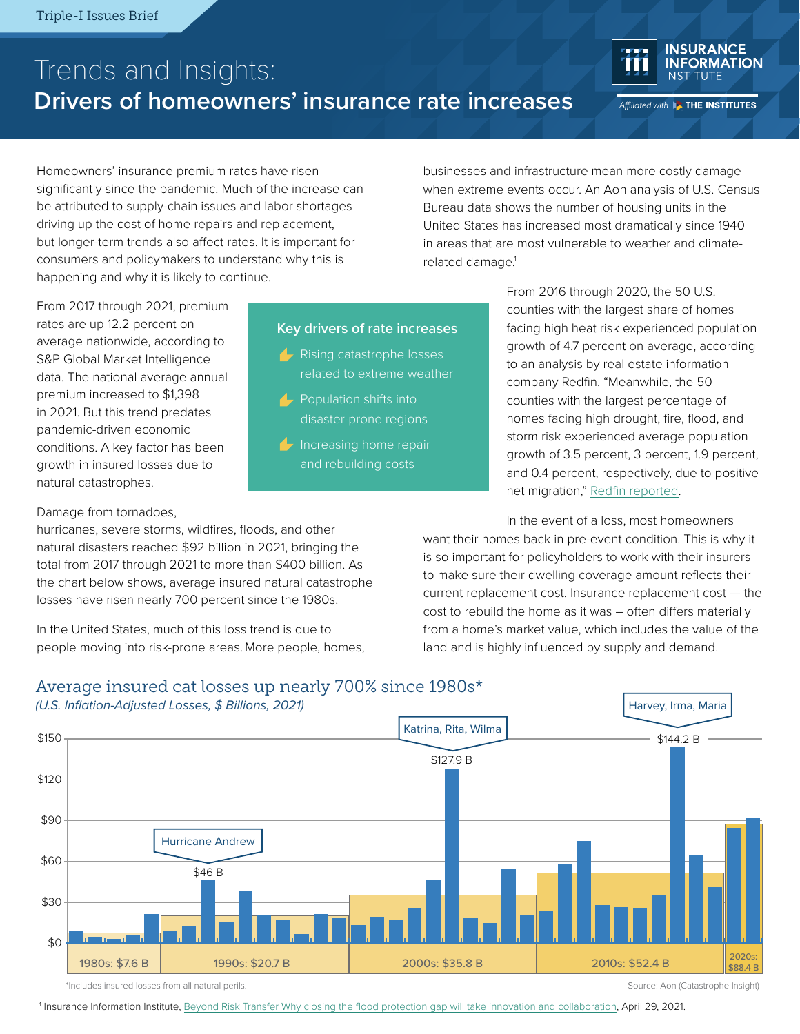# Trends and Insights: **Drivers of homeowners' insurance rate increases**



Affiliated with **BE THE INSTITUTES** 

Homeowners' insurance premium rates have risen significantly since the pandemic. Much of the increase can be attributed to supply-chain issues and labor shortages driving up the cost of home repairs and replacement, but longer-term trends also affect rates. It is important for consumers and policymakers to understand why this is happening and why it is likely to continue.

businesses and infrastructure mean more costly damage when extreme events occur. An Aon analysis of U.S. Census Bureau data shows the number of housing units in the United States has increased most dramatically since 1940 in areas that are most vulnerable to weather and climaterelated damage.<sup>1</sup>

From 2017 through 2021, premium rates are up 12.2 percent on average nationwide, according to S&P Global Market Intelligence data. The national average annual premium increased to \$1,398 in 2021. But this trend predates pandemic-driven economic conditions. A key factor has been growth in insured losses due to natural catastrophes.

#### Damage from tornadoes,

hurricanes, severe storms, wildfires, floods, and other natural disasters reached \$92 billion in 2021, bringing the total from 2017 through 2021 to more than \$400 billion. As the chart below shows, average insured natural catastrophe losses have risen nearly 700 percent since the 1980s.

In the United States, much of this loss trend is due to people moving into risk-prone areas.More people, homes,

### **Key drivers of rate increases**

- **A** Rising catastrophe losses related to extreme weather
- **Population shifts into** disaster-prone regions
- $\blacktriangleright$  Increasing home repair and rebuilding costs

From 2016 through 2020, the 50 U.S. counties with the largest share of homes facing high heat risk experienced population growth of 4.7 percent on average, according to an analysis by real estate information company Redfin. "Meanwhile, the 50 counties with the largest percentage of homes facing high drought, fire, flood, and storm risk experienced average population growth of 3.5 percent, 3 percent, 1.9 percent, and 0.4 percent, respectively, due to positive net migration," [Redfin reported](https://www.redfin.com/news/climate-migration-real-estate-2021).

Harvey, Irma, Maria

In the event of a loss, most homeowners want their homes back in pre-event condition. This is why it is so important for policyholders to work with their insurers to make sure their dwelling coverage amount reflects their current replacement cost. Insurance replacement cost — the cost to rebuild the home as it was – often differs materially from a home's market value, which includes the value of the land and is highly influenced by supply and demand.

## Average insured cat losses up nearly 700% since 1980s\*

*(U.S. Inflation-Adjusted Losses, \$ Billions, 2021)*



\*Includes insured losses from all natural perils. Source: Aon (Catastrophe Insight)

<sup>1</sup> Insurance Information Institute, [Beyond Risk Transfer Why closing the flood protection gap will take innovation and collaboration](https://www.iii.org/sites/default/files/docs/pdf/floods_wp_042621.pdf), April 29, 2021.